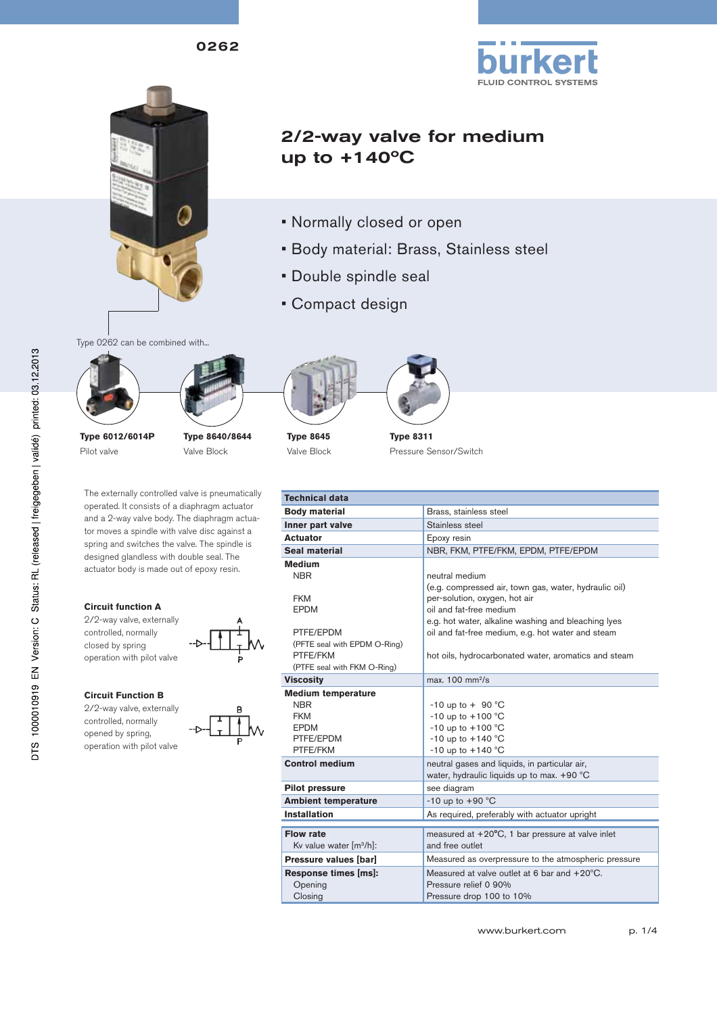0262



# 2/2-way valve for medium up to +140ºC

- Normally closed or open
- Body material: Brass, Stainless steel
- Double spindle seal
- Compact design

Type 0262 can be combined with...



**Type 6012/6014P** Pilot valve



The externally controlled valve is pneumatically operated. It consists of a diaphragm actuator and a 2-way valve body. The diaphragm actuator moves a spindle with valve disc against a spring and switches the valve. The spindle is designed glandless with double seal. The actuator body is made out of epoxy resin.

#### **Circuit function A**

2/2-way valve, externally controlled, normally closed by spring operation with pilot valve

#### **Circuit Function B**

2/2-way valve, externally controlled, normally opened by spring, operation with pilot valve



**Type 8645** Valve Block



**Type 8311** Pressure Sensor/Switch

| <b>Technical data</b>                                                                          |                                                                                                                                                                                                                                                 |
|------------------------------------------------------------------------------------------------|-------------------------------------------------------------------------------------------------------------------------------------------------------------------------------------------------------------------------------------------------|
| <b>Body material</b>                                                                           | Brass, stainless steel                                                                                                                                                                                                                          |
| Inner part valve                                                                               | Stainless steel                                                                                                                                                                                                                                 |
| <b>Actuator</b>                                                                                | Epoxy resin                                                                                                                                                                                                                                     |
| Seal material                                                                                  | NBR, FKM, PTFE/FKM, EPDM, PTFE/EPDM                                                                                                                                                                                                             |
| Medium<br><b>NBR</b><br><b>FKM</b><br><b>EPDM</b><br>PTFE/EPDM<br>(PFTE seal with EPDM O-Ring) | neutral medium<br>(e.g. compressed air, town gas, water, hydraulic oil)<br>per-solution, oxygen, hot air<br>oil and fat-free medium<br>e.g. hot water, alkaline washing and bleaching lyes<br>oil and fat-free medium, e.g. hot water and steam |
| PTFE/FKM<br>(PTFE seal with FKM O-Ring)                                                        | hot oils, hydrocarbonated water, aromatics and steam                                                                                                                                                                                            |
| <b>Viscosity</b>                                                                               | max. $100 \text{ mm}^2\text{/s}$                                                                                                                                                                                                                |
| <b>Medium temperature</b><br>NBR.<br><b>FKM</b><br><b>EPDM</b><br>PTFE/EPDM<br>PTFE/FKM        | $-10$ up to + 90 °C<br>$-10$ up to $+100$ °C<br>$-10$ up to $+100$ °C<br>$-10$ up to $+140$ °C<br>$-10$ up to $+140$ °C                                                                                                                         |
| <b>Control medium</b>                                                                          | neutral gases and liquids, in particular air,<br>water, hydraulic liquids up to max. $+90$ °C                                                                                                                                                   |
| <b>Pilot pressure</b>                                                                          | see diagram                                                                                                                                                                                                                                     |
| <b>Ambient temperature</b>                                                                     | $-10$ up to $+90$ °C                                                                                                                                                                                                                            |
| <b>Installation</b>                                                                            | As required, preferably with actuator upright                                                                                                                                                                                                   |
| Flow rate<br>Kv value water [m <sup>3</sup> /h]:                                               | measured at +20°C, 1 bar pressure at valve inlet<br>and free outlet                                                                                                                                                                             |
| Pressure values [bar]                                                                          | Measured as overpressure to the atmospheric pressure                                                                                                                                                                                            |
| Response times [ms]:<br>Opening<br>Closing                                                     | Measured at valve outlet at 6 bar and +20°C.<br>Pressure relief 0 90%<br>Pressure drop 100 to 10%                                                                                                                                               |

**FLUID CONTROL SYSTEMS**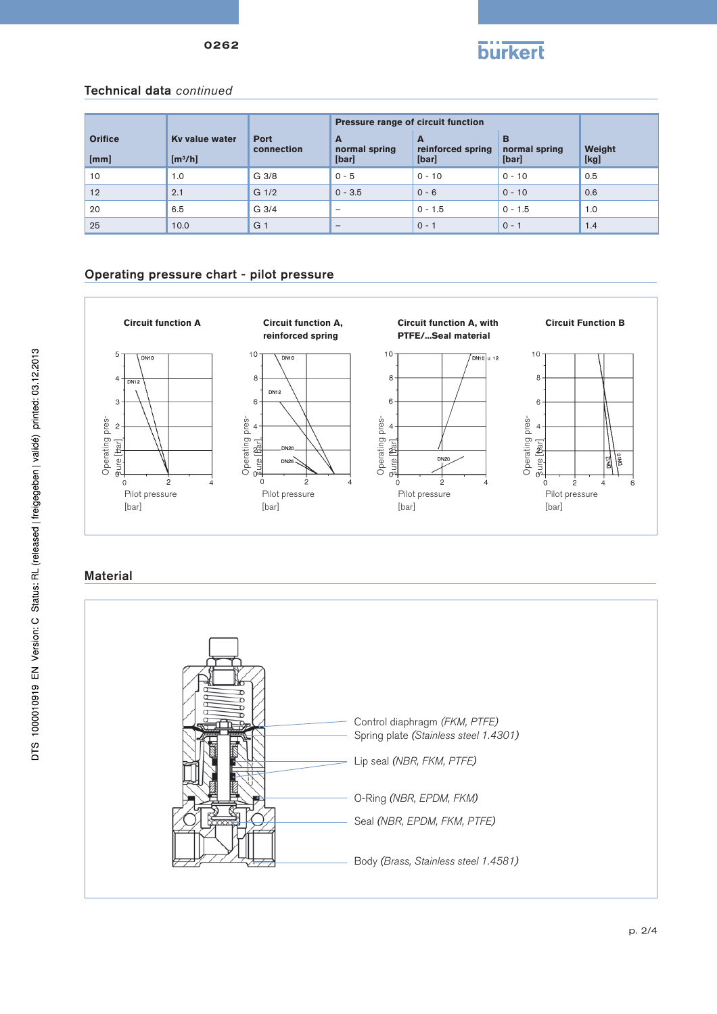

### Technical data *continued*

|                        |                                       |                    | Pressure range of circuit function |                                 |                             |                |
|------------------------|---------------------------------------|--------------------|------------------------------------|---------------------------------|-----------------------------|----------------|
| <b>Orifice</b><br>[mm] | Ky value water<br>[m <sup>3</sup> /h] | Port<br>connection | A<br>normal spring<br>[bar]        | A<br>reinforced spring<br>[bar] | B<br>normal spring<br>[bar] | Weight<br>[kg] |
| 10                     | 1.0                                   | G <sub>3/8</sub>   | $0 - 5$                            | $0 - 10$                        | $0 - 10$                    | 0.5            |
| 12                     | 2.1                                   | G <sub>1/2</sub>   | $0 - 3.5$                          | $0 - 6$                         | $0 - 10$                    | 0.6            |
| 20                     | 6.5                                   | G <sub>3/4</sub>   | -                                  | $0 - 1.5$                       | $0 - 1.5$                   | 1.0            |
| 25                     | 10.0                                  | G <sub>1</sub>     | $\qquad \qquad -$                  | $0 - 1$                         | $0 - 1$                     | 1.4            |

### Operating pressure chart - pilot pressure



## **Material**

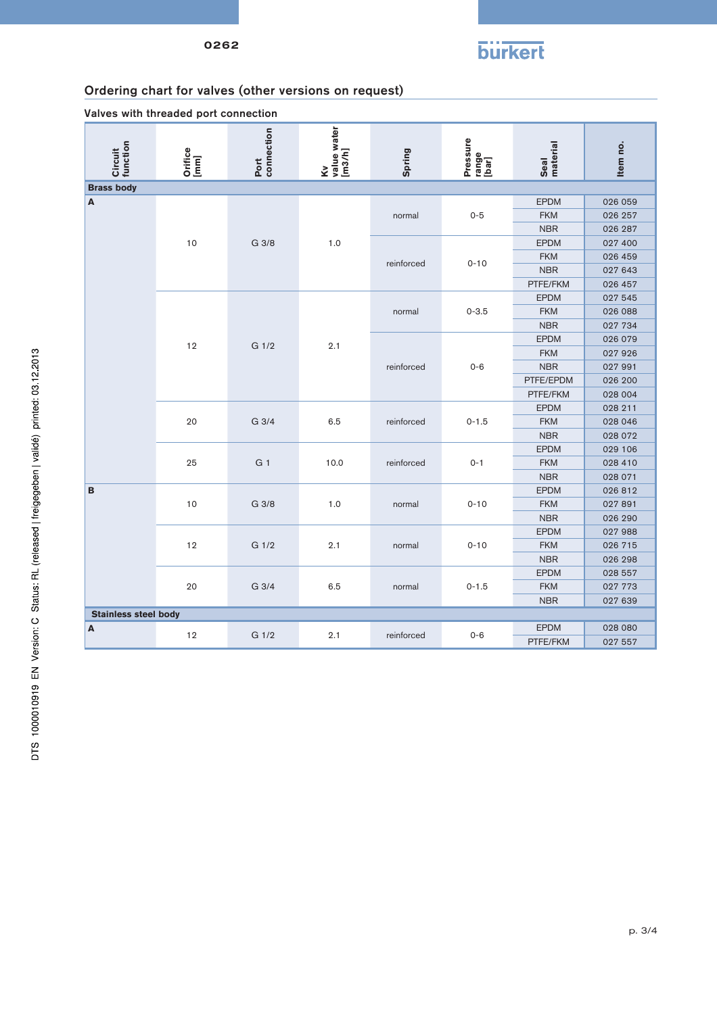

## Ordering chart for valves (other versions on request)

Valves with threaded port connection

| Circuit<br>function         | Orifice<br>[mm] | Port<br>connection | Kv<br>value water<br>[m3/h] | Spring                   | Pressure<br>range<br>[bar] | Seal<br>material          | Item no.           |  |  |
|-----------------------------|-----------------|--------------------|-----------------------------|--------------------------|----------------------------|---------------------------|--------------------|--|--|
| <b>Brass body</b>           |                 |                    |                             |                          |                            |                           |                    |  |  |
| A                           | 10              | G 3/8              | 1.0                         | normal                   | $0 - 5$                    | <b>EPDM</b>               | 026 059            |  |  |
|                             |                 |                    |                             |                          |                            | <b>FKM</b>                | 026 257            |  |  |
|                             |                 |                    |                             |                          |                            | <b>NBR</b>                | 026 287            |  |  |
|                             |                 |                    |                             | reinforced               | $0 - 10$                   | <b>EPDM</b>               | 027 400            |  |  |
|                             |                 |                    |                             |                          |                            | <b>FKM</b>                | 026 459            |  |  |
|                             |                 |                    |                             |                          |                            | <b>NBR</b>                | 027 643            |  |  |
|                             |                 |                    |                             |                          |                            | PTFE/FKM                  | 026 457            |  |  |
|                             |                 |                    |                             |                          |                            | <b>EPDM</b>               | 027 545            |  |  |
|                             |                 |                    |                             | normal                   | $0 - 3.5$                  | <b>FKM</b>                | 026 088            |  |  |
|                             |                 |                    |                             |                          |                            | <b>NBR</b>                | 027 734            |  |  |
|                             | 12              | G 1/2              | 2.1                         |                          |                            | <b>EPDM</b>               | 026 079            |  |  |
|                             | 20              | G 3/4              | 6.5                         |                          | $0 - 6$<br>$0 - 1.5$       | <b>FKM</b>                | 027 926            |  |  |
|                             |                 |                    |                             | reinforced<br>reinforced |                            | <b>NBR</b>                | 027 991            |  |  |
|                             |                 |                    |                             |                          |                            | PTFE/EPDM                 | 026 200            |  |  |
|                             |                 |                    |                             |                          |                            | PTFE/FKM                  | 028 004            |  |  |
|                             |                 |                    |                             |                          |                            | <b>EPDM</b>               | 028 211            |  |  |
|                             |                 |                    |                             |                          |                            | <b>FKM</b>                | 028 046            |  |  |
|                             |                 |                    |                             |                          |                            | <b>NBR</b>                | 028 072            |  |  |
|                             | 25              | G <sub>1</sub>     | 10.0                        | reinforced               | $0 - 1$                    | <b>EPDM</b><br><b>FKM</b> | 029 106<br>028 410 |  |  |
|                             |                 |                    |                             |                          |                            | <b>NBR</b>                | 028 071            |  |  |
| B                           | 10              | G 3/8              | 1.0                         | normal                   | $0 - 10$                   | <b>EPDM</b>               | 026 812            |  |  |
|                             |                 |                    |                             |                          |                            | <b>FKM</b>                | 027 891            |  |  |
|                             |                 |                    |                             |                          |                            | <b>NBR</b>                | 026 290            |  |  |
|                             | 12              | G 1/2              | 2.1                         | normal                   | $0 - 10$                   | <b>EPDM</b>               | 027 988            |  |  |
|                             |                 |                    |                             |                          |                            | <b>FKM</b>                | 026 715            |  |  |
|                             |                 |                    |                             |                          |                            | <b>NBR</b>                | 026 298            |  |  |
|                             | 20              | G 3/4              | 6.5                         |                          | $0 - 1.5$                  | <b>EPDM</b>               | 028 557            |  |  |
|                             |                 |                    |                             | normal                   |                            | <b>FKM</b>                | 027 773            |  |  |
|                             |                 |                    |                             |                          |                            | <b>NBR</b>                | 027 639            |  |  |
| <b>Stainless steel body</b> |                 |                    |                             |                          |                            |                           |                    |  |  |
| A                           | 12              | G 1/2              | 2.1                         | reinforced               | $0 - 6$                    | <b>EPDM</b>               | 028 080            |  |  |
|                             |                 |                    |                             |                          |                            | PTFE/FKM                  | 027 557            |  |  |